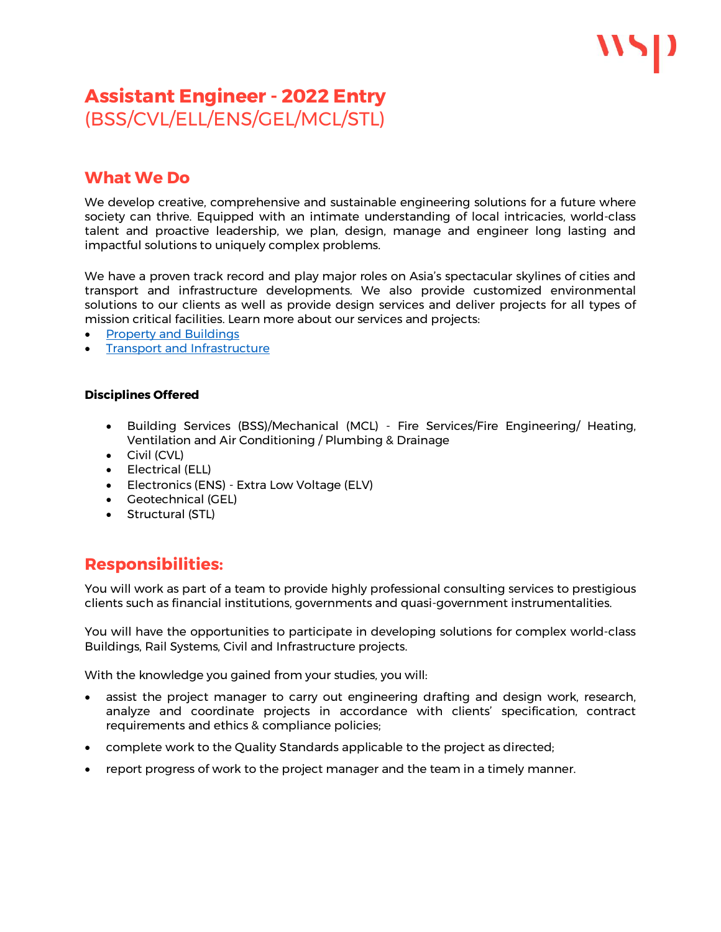## **Assistant Engineer - 2022 Entry**  (BSS/CVL/ELL/ENS/GEL/MCL/STL)

### **What We Do**

We develop creative, comprehensive and sustainable engineering solutions for a future where society can thrive. Equipped with an intimate understanding of local intricacies, world-class talent and proactive leadership, we plan, design, manage and engineer long lasting and impactful solutions to uniquely complex problems.

We have a proven track record and play major roles on Asia's spectacular skylines of cities and transport and infrastructure developments. We also provide customized environmental solutions to our clients as well as provide design services and deliver projects for all types of mission critical facilities. Learn more about our services and projects:

- Property and [Buildings](https://www.wsp.com/en-CN/hubs/property-and-buildings)
- **Transport and [Infrastructure](https://www.wsp.com/en-CN/hubs/transportation-and-infrastructure)**

#### **Disciplines Offered**

- Building Services (BSS)/Mechanical (MCL) Fire Services/Fire Engineering/ Heating, Ventilation and Air Conditioning / Plumbing & Drainage
- Civil (CVL)
- Electrical (ELL)
- Electronics (ENS) Extra Low Voltage (ELV)
- Geotechnical (GEL)
- Structural (STL)

### **Responsibilities:**

You will work as part of a team to provide highly professional consulting services to prestigious clients such as financial institutions, governments and quasi-government instrumentalities.

You will have the opportunities to participate in developing solutions for complex world-class Buildings, Rail Systems, Civil and Infrastructure projects.

With the knowledge you gained from your studies, you will:

- assist the project manager to carry out engineering drafting and design work, research, analyze and coordinate projects in accordance with clients' specification, contract requirements and ethics & compliance policies;
- complete work to the Quality Standards applicable to the project as directed;
- report progress of work to the project manager and the team in a timely manner.